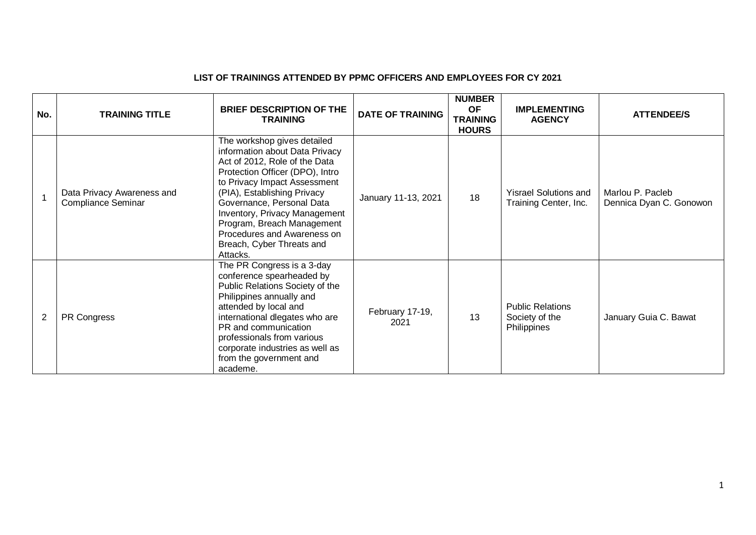## **LIST OF TRAININGS ATTENDED BY PPMC OFFICERS AND EMPLOYEES FOR CY 2021**

| No.            | <b>TRAINING TITLE</b>                                   | <b>BRIEF DESCRIPTION OF THE</b><br><b>TRAINING</b>                                                                                                                                                                                                                                                                                                                          | <b>DATE OF TRAINING</b> | <b>NUMBER</b><br><b>OF</b><br><b>TRAINING</b><br><b>HOURS</b> | <b>IMPLEMENTING</b><br><b>AGENCY</b>                     | <b>ATTENDEE/S</b>                           |
|----------------|---------------------------------------------------------|-----------------------------------------------------------------------------------------------------------------------------------------------------------------------------------------------------------------------------------------------------------------------------------------------------------------------------------------------------------------------------|-------------------------|---------------------------------------------------------------|----------------------------------------------------------|---------------------------------------------|
|                | Data Privacy Awareness and<br><b>Compliance Seminar</b> | The workshop gives detailed<br>information about Data Privacy<br>Act of 2012, Role of the Data<br>Protection Officer (DPO), Intro<br>to Privacy Impact Assessment<br>(PIA), Establishing Privacy<br>Governance, Personal Data<br><b>Inventory, Privacy Management</b><br>Program, Breach Management<br>Procedures and Awareness on<br>Breach, Cyber Threats and<br>Attacks. | January 11-13, 2021     | 18                                                            | <b>Yisrael Solutions and</b><br>Training Center, Inc.    | Marlou P. Pacleb<br>Dennica Dyan C. Gonowon |
| $\overline{2}$ | PR Congress                                             | The PR Congress is a 3-day<br>conference spearheaded by<br>Public Relations Society of the<br>Philippines annually and<br>attended by local and<br>international dlegates who are<br>PR and communication<br>professionals from various<br>corporate industries as well as<br>from the government and<br>academe.                                                           | February 17-19,<br>2021 | 13                                                            | <b>Public Relations</b><br>Society of the<br>Philippines | January Guia C. Bawat                       |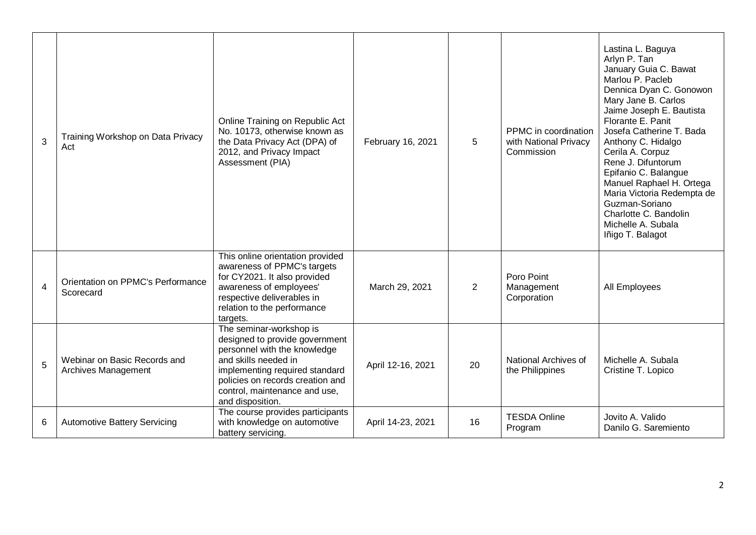| 3              | Training Workshop on Data Privacy<br>Act            | Online Training on Republic Act<br>No. 10173, otherwise known as<br>the Data Privacy Act (DPA) of<br>2012, and Privacy Impact<br>Assessment (PIA)                                                                                            | February 16, 2021 | 5              | PPMC in coordination<br>with National Privacy<br>Commission | Lastina L. Baguya<br>Arlyn P. Tan<br>January Guia C. Bawat<br>Marlou P. Pacleb<br>Dennica Dyan C. Gonowon<br>Mary Jane B. Carlos<br>Jaime Joseph E. Bautista<br>Florante E. Panit<br>Josefa Catherine T. Bada<br>Anthony C. Hidalgo<br>Cerila A. Corpuz<br>Rene J. Difuntorum<br>Epifanio C. Balangue<br>Manuel Raphael H. Ortega<br>Maria Victoria Redempta de<br>Guzman-Soriano<br>Charlotte C. Bandolin<br>Michelle A. Subala<br>Iñigo T. Balagot |
|----------------|-----------------------------------------------------|----------------------------------------------------------------------------------------------------------------------------------------------------------------------------------------------------------------------------------------------|-------------------|----------------|-------------------------------------------------------------|------------------------------------------------------------------------------------------------------------------------------------------------------------------------------------------------------------------------------------------------------------------------------------------------------------------------------------------------------------------------------------------------------------------------------------------------------|
| $\overline{4}$ | Orientation on PPMC's Performance<br>Scorecard      | This online orientation provided<br>awareness of PPMC's targets<br>for CY2021. It also provided<br>awareness of employees'<br>respective deliverables in<br>relation to the performance<br>targets.                                          | March 29, 2021    | $\overline{2}$ | Poro Point<br>Management<br>Corporation                     | All Employees                                                                                                                                                                                                                                                                                                                                                                                                                                        |
| 5              | Webinar on Basic Records and<br>Archives Management | The seminar-workshop is<br>designed to provide government<br>personnel with the knowledge<br>and skills needed in<br>implementing required standard<br>policies on records creation and<br>control, maintenance and use,<br>and disposition. | April 12-16, 2021 | 20             | National Archives of<br>the Philippines                     | Michelle A. Subala<br>Cristine T. Lopico                                                                                                                                                                                                                                                                                                                                                                                                             |
| 6              | <b>Automotive Battery Servicing</b>                 | The course provides participants<br>with knowledge on automotive<br>battery servicing.                                                                                                                                                       | April 14-23, 2021 | 16             | <b>TESDA Online</b><br>Program                              | Jovito A. Valido<br>Danilo G. Saremiento                                                                                                                                                                                                                                                                                                                                                                                                             |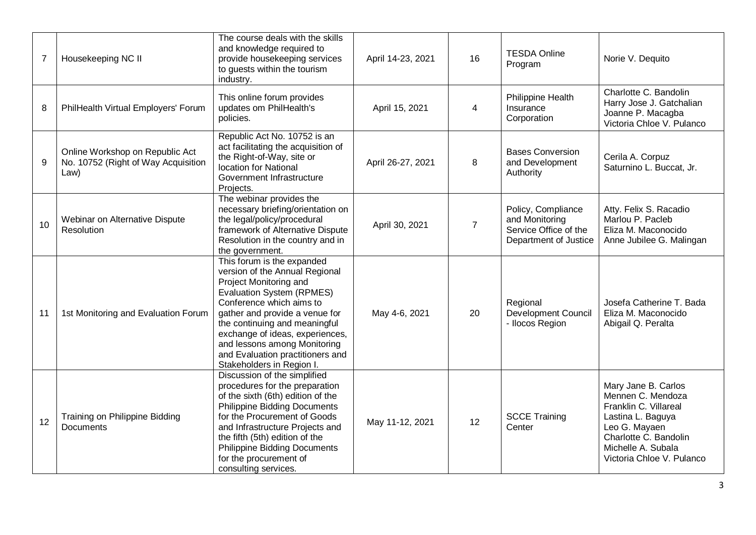| $\overline{7}$ | Housekeeping NC II                                                             | The course deals with the skills<br>and knowledge required to<br>provide housekeeping services<br>to guests within the tourism<br>industry.                                                                                                                                                                                                                   | April 14-23, 2021 | 16             | <b>TESDA Online</b><br>Program                                                         | Norie V. Dequito                                                                                                                                                                    |
|----------------|--------------------------------------------------------------------------------|---------------------------------------------------------------------------------------------------------------------------------------------------------------------------------------------------------------------------------------------------------------------------------------------------------------------------------------------------------------|-------------------|----------------|----------------------------------------------------------------------------------------|-------------------------------------------------------------------------------------------------------------------------------------------------------------------------------------|
| 8              | PhilHealth Virtual Employers' Forum                                            | This online forum provides<br>updates om PhilHealth's<br>policies.                                                                                                                                                                                                                                                                                            | April 15, 2021    | 4              | Philippine Health<br>Insurance<br>Corporation                                          | Charlotte C. Bandolin<br>Harry Jose J. Gatchalian<br>Joanne P. Macagba<br>Victoria Chloe V. Pulanco                                                                                 |
| 9              | Online Workshop on Republic Act<br>No. 10752 (Right of Way Acquisition<br>Law) | Republic Act No. 10752 is an<br>act facilitating the acquisition of<br>the Right-of-Way, site or<br>location for National<br>Government Infrastructure<br>Projects.                                                                                                                                                                                           | April 26-27, 2021 | 8              | <b>Bases Conversion</b><br>and Development<br>Authority                                | Cerila A. Corpuz<br>Saturnino L. Buccat, Jr.                                                                                                                                        |
| 10             | Webinar on Alternative Dispute<br>Resolution                                   | The webinar provides the<br>necessary briefing/orientation on<br>the legal/policy/procedural<br>framework of Alternative Dispute<br>Resolution in the country and in<br>the government.                                                                                                                                                                       | April 30, 2021    | $\overline{7}$ | Policy, Compliance<br>and Monitoring<br>Service Office of the<br>Department of Justice | Atty. Felix S. Racadio<br>Marlou P. Pacleb<br>Eliza M. Maconocido<br>Anne Jubilee G. Malingan                                                                                       |
| 11             | 1st Monitoring and Evaluation Forum                                            | This forum is the expanded<br>version of the Annual Regional<br>Project Monitoring and<br><b>Evaluation System (RPMES)</b><br>Conference which aims to<br>gather and provide a venue for<br>the continuing and meaningful<br>exchange of ideas, experiences,<br>and lessons among Monitoring<br>and Evaluation practitioners and<br>Stakeholders in Region I. | May 4-6, 2021     | 20             | Regional<br><b>Development Council</b><br>- Ilocos Region                              | Josefa Catherine T. Bada<br>Eliza M. Maconocido<br>Abigail Q. Peralta                                                                                                               |
| 12             | Training on Philippine Bidding<br><b>Documents</b>                             | Discussion of the simplified<br>procedures for the preparation<br>of the sixth (6th) edition of the<br><b>Philippine Bidding Documents</b><br>for the Procurement of Goods<br>and Infrastructure Projects and<br>the fifth (5th) edition of the<br><b>Philippine Bidding Documents</b><br>for the procurement of<br>consulting services.                      | May 11-12, 2021   | 12             | <b>SCCE Training</b><br>Center                                                         | Mary Jane B. Carlos<br>Mennen C. Mendoza<br>Franklin C. Villareal<br>Lastina L. Baguya<br>Leo G. Mayaen<br>Charlotte C. Bandolin<br>Michelle A. Subala<br>Victoria Chloe V. Pulanco |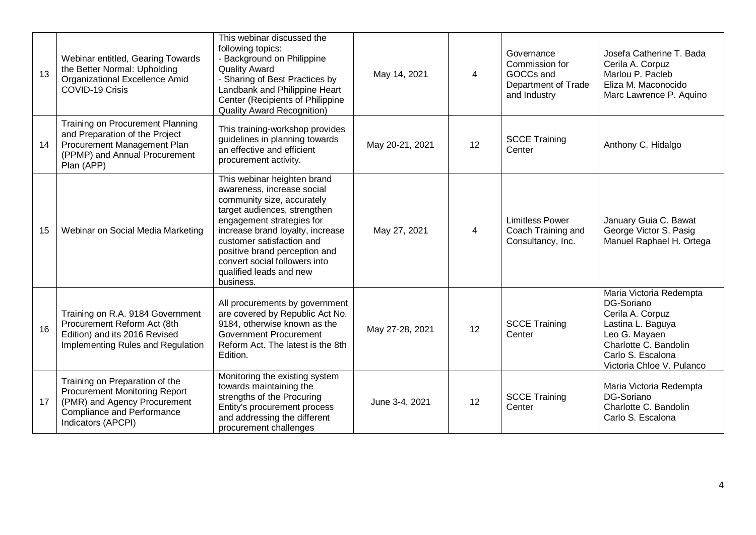| 13 | Webinar entitled, Gearing Towards<br>the Better Normal: Upholding<br>Organizational Excellence Amid<br>COVID-19 Crisis                                            | This webinar discussed the<br>following topics:<br>- Background on Philippine<br><b>Quality Award</b><br>- Sharing of Best Practices by<br>Landbank and Philippine Heart<br>Center (Recipients of Philippine<br><b>Quality Award Recognition)</b>                                                                               | May 14, 2021    | $\overline{4}$ | Governance<br>Commission for<br>GOCCs and<br>Department of Trade<br>and Industry | Josefa Catherine T. Bada<br>Cerila A. Corpuz<br>Marlou P. Pacleb<br>Eliza M. Maconocido<br>Marc Lawrence P. Aquino                                                         |
|----|-------------------------------------------------------------------------------------------------------------------------------------------------------------------|---------------------------------------------------------------------------------------------------------------------------------------------------------------------------------------------------------------------------------------------------------------------------------------------------------------------------------|-----------------|----------------|----------------------------------------------------------------------------------|----------------------------------------------------------------------------------------------------------------------------------------------------------------------------|
| 14 | <b>Training on Procurement Planning</b><br>and Preparation of the Project<br>Procurement Management Plan<br>(PPMP) and Annual Procurement<br>Plan (APP)           | This training-workshop provides<br>guidelines in planning towards<br>an effective and efficient<br>procurement activity.                                                                                                                                                                                                        | May 20-21, 2021 | 12             | <b>SCCE Training</b><br>Center                                                   | Anthony C. Hidalgo                                                                                                                                                         |
| 15 | Webinar on Social Media Marketing                                                                                                                                 | This webinar heighten brand<br>awareness, increase social<br>community size, accurately<br>target audiences, strengthen<br>engagement strategies for<br>increase brand loyalty, increase<br>customer satisfaction and<br>positive brand perception and<br>convert social followers into<br>qualified leads and new<br>business. | May 27, 2021    | $\overline{4}$ | <b>Limitless Power</b><br>Coach Training and<br>Consultancy, Inc.                | January Guia C. Bawat<br>George Victor S. Pasig<br>Manuel Raphael H. Ortega                                                                                                |
| 16 | Training on R.A. 9184 Government<br>Procurement Reform Act (8th<br>Edition) and its 2016 Revised<br>Implementing Rules and Regulation                             | All procurements by government<br>are covered by Republic Act No.<br>9184, otherwise known as the<br><b>Government Procurement</b><br>Reform Act. The latest is the 8th<br>Edition.                                                                                                                                             | May 27-28, 2021 | 12             | <b>SCCE Training</b><br>Center                                                   | Maria Victoria Redempta<br>DG-Soriano<br>Cerila A. Corpuz<br>Lastina L. Baguya<br>Leo G. Mayaen<br>Charlotte C. Bandolin<br>Carlo S. Escalona<br>Victoria Chloe V. Pulanco |
| 17 | Training on Preparation of the<br><b>Procurement Monitoring Report</b><br>(PMR) and Agency Procurement<br><b>Compliance and Performance</b><br>Indicators (APCPI) | Monitoring the existing system<br>towards maintaining the<br>strengths of the Procuring<br>Entity's procurement process<br>and addressing the different<br>procurement challenges                                                                                                                                               | June 3-4, 2021  | 12             | <b>SCCE Training</b><br>Center                                                   | Maria Victoria Redempta<br>DG-Soriano<br>Charlotte C. Bandolin<br>Carlo S. Escalona                                                                                        |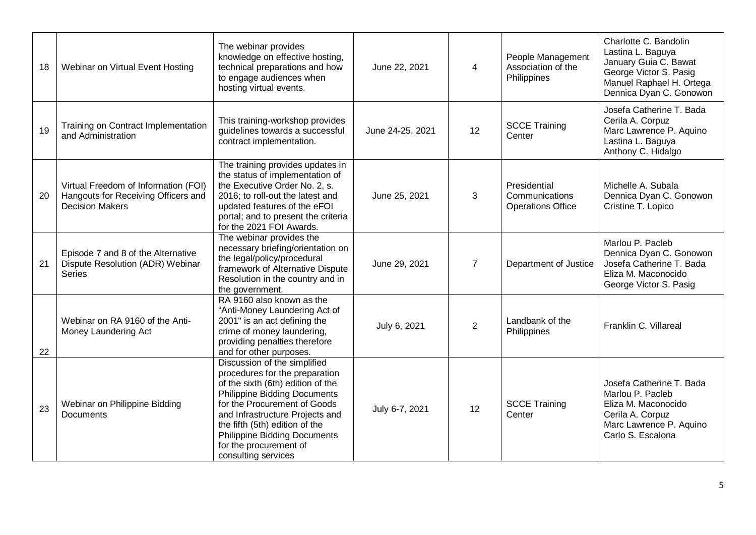| 18 | Webinar on Virtual Event Hosting                                                                      | The webinar provides<br>knowledge on effective hosting,<br>technical preparations and how<br>to engage audiences when                                                                                                                                                                                                                   | June 22, 2021    | 4              | People Management<br>Association of the<br>Philippines     | Charlotte C. Bandolin<br>Lastina L. Baguya<br>January Guia C. Bawat<br>George Victor S. Pasig                                           |
|----|-------------------------------------------------------------------------------------------------------|-----------------------------------------------------------------------------------------------------------------------------------------------------------------------------------------------------------------------------------------------------------------------------------------------------------------------------------------|------------------|----------------|------------------------------------------------------------|-----------------------------------------------------------------------------------------------------------------------------------------|
|    |                                                                                                       | hosting virtual events.                                                                                                                                                                                                                                                                                                                 |                  |                |                                                            | Manuel Raphael H. Ortega<br>Dennica Dyan C. Gonowon                                                                                     |
| 19 | Training on Contract Implementation<br>and Administration                                             | This training-workshop provides<br>guidelines towards a successful<br>contract implementation.                                                                                                                                                                                                                                          | June 24-25, 2021 | 12             | <b>SCCE Training</b><br>Center                             | Josefa Catherine T. Bada<br>Cerila A. Corpuz<br>Marc Lawrence P. Aquino<br>Lastina L. Baguya<br>Anthony C. Hidalgo                      |
| 20 | Virtual Freedom of Information (FOI)<br>Hangouts for Receiving Officers and<br><b>Decision Makers</b> | The training provides updates in<br>the status of implementation of<br>the Executive Order No. 2, s.<br>2016; to roll-out the latest and<br>updated features of the eFOI<br>portal; and to present the criteria<br>for the 2021 FOI Awards.                                                                                             | June 25, 2021    | 3              | Presidential<br>Communications<br><b>Operations Office</b> | Michelle A. Subala<br>Dennica Dyan C. Gonowon<br>Cristine T. Lopico                                                                     |
| 21 | Episode 7 and 8 of the Alternative<br>Dispute Resolution (ADR) Webinar<br><b>Series</b>               | The webinar provides the<br>necessary briefing/orientation on<br>the legal/policy/procedural<br>framework of Alternative Dispute<br>Resolution in the country and in<br>the government.                                                                                                                                                 | June 29, 2021    | $\overline{7}$ | Department of Justice                                      | Marlou P. Pacleb<br>Dennica Dyan C. Gonowon<br>Josefa Catherine T. Bada<br>Eliza M. Maconocido<br>George Victor S. Pasig                |
| 22 | Webinar on RA 9160 of the Anti-<br>Money Laundering Act                                               | RA 9160 also known as the<br>"Anti-Money Laundering Act of<br>2001" is an act defining the<br>crime of money laundering,<br>providing penalties therefore<br>and for other purposes.                                                                                                                                                    | July 6, 2021     | $\overline{2}$ | Landbank of the<br>Philippines                             | Franklin C. Villareal                                                                                                                   |
| 23 | Webinar on Philippine Bidding<br>Documents                                                            | Discussion of the simplified<br>procedures for the preparation<br>of the sixth (6th) edition of the<br><b>Philippine Bidding Documents</b><br>for the Procurement of Goods<br>and Infrastructure Projects and<br>the fifth (5th) edition of the<br><b>Philippine Bidding Documents</b><br>for the procurement of<br>consulting services | July 6-7, 2021   | 12             | <b>SCCE Training</b><br>Center                             | Josefa Catherine T. Bada<br>Marlou P. Pacleb<br>Eliza M. Maconocido<br>Cerila A. Corpuz<br>Marc Lawrence P. Aquino<br>Carlo S. Escalona |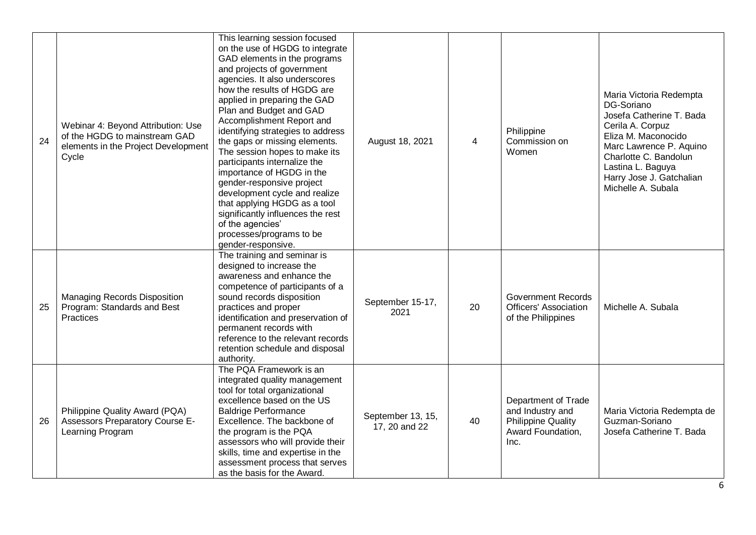| 24 | Webinar 4: Beyond Attribution: Use<br>of the HGDG to mainstream GAD<br>elements in the Project Development<br>Cycle | This learning session focused<br>on the use of HGDG to integrate<br>GAD elements in the programs<br>and projects of government<br>agencies. It also underscores<br>how the results of HGDG are<br>applied in preparing the GAD<br>Plan and Budget and GAD<br>Accomplishment Report and<br>identifying strategies to address<br>the gaps or missing elements.<br>The session hopes to make its<br>participants internalize the<br>importance of HGDG in the<br>gender-responsive project<br>development cycle and realize<br>that applying HGDG as a tool<br>significantly influences the rest<br>of the agencies'<br>processes/programs to be<br>gender-responsive. | August 18, 2021                    | $\overline{4}$ | Philippine<br>Commission on<br>Women                                                              | Maria Victoria Redempta<br>DG-Soriano<br>Josefa Catherine T. Bada<br>Cerila A. Corpuz<br>Eliza M. Maconocido<br>Marc Lawrence P. Aquino<br>Charlotte C. Bandolun<br>Lastina L. Baguya<br>Harry Jose J. Gatchalian<br>Michelle A. Subala |
|----|---------------------------------------------------------------------------------------------------------------------|---------------------------------------------------------------------------------------------------------------------------------------------------------------------------------------------------------------------------------------------------------------------------------------------------------------------------------------------------------------------------------------------------------------------------------------------------------------------------------------------------------------------------------------------------------------------------------------------------------------------------------------------------------------------|------------------------------------|----------------|---------------------------------------------------------------------------------------------------|-----------------------------------------------------------------------------------------------------------------------------------------------------------------------------------------------------------------------------------------|
| 25 | <b>Managing Records Disposition</b><br>Program: Standards and Best<br>Practices                                     | The training and seminar is<br>designed to increase the<br>awareness and enhance the<br>competence of participants of a<br>sound records disposition<br>practices and proper<br>identification and preservation of<br>permanent records with<br>reference to the relevant records<br>retention schedule and disposal<br>authority.                                                                                                                                                                                                                                                                                                                                  | September 15-17,<br>2021           | 20             | <b>Government Records</b><br><b>Officers' Association</b><br>of the Philippines                   | Michelle A. Subala                                                                                                                                                                                                                      |
| 26 | Philippine Quality Award (PQA)<br><b>Assessors Preparatory Course E-</b><br>Learning Program                        | The PQA Framework is an<br>integrated quality management<br>tool for total organizational<br>excellence based on the US<br><b>Baldrige Performance</b><br>Excellence. The backbone of<br>the program is the PQA<br>assessors who will provide their<br>skills, time and expertise in the<br>assessment process that serves<br>as the basis for the Award.                                                                                                                                                                                                                                                                                                           | September 13, 15,<br>17, 20 and 22 | 40             | Department of Trade<br>and Industry and<br><b>Philippine Quality</b><br>Award Foundation,<br>Inc. | Maria Victoria Redempta de<br>Guzman-Soriano<br>Josefa Catherine T. Bada                                                                                                                                                                |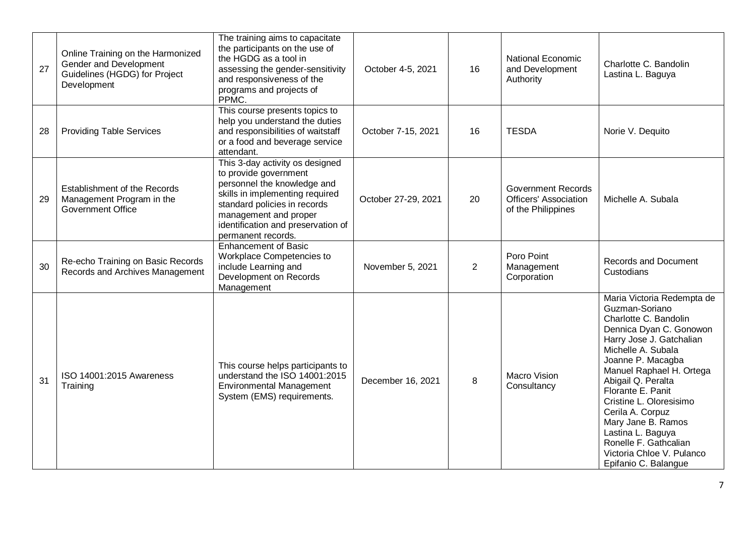| 27 | Online Training on the Harmonized<br>Gender and Development<br>Guidelines (HGDG) for Project<br>Development | The training aims to capacitate<br>the participants on the use of<br>the HGDG as a tool in<br>assessing the gender-sensitivity<br>and responsiveness of the<br>programs and projects of<br>PPMC.                                                | October 4-5, 2021   | 16 | National Economic<br>and Development<br>Authority                               | Charlotte C. Bandolin<br>Lastina L. Baguya                                                                                                                                                                                                                                                                                                                                                                             |
|----|-------------------------------------------------------------------------------------------------------------|-------------------------------------------------------------------------------------------------------------------------------------------------------------------------------------------------------------------------------------------------|---------------------|----|---------------------------------------------------------------------------------|------------------------------------------------------------------------------------------------------------------------------------------------------------------------------------------------------------------------------------------------------------------------------------------------------------------------------------------------------------------------------------------------------------------------|
| 28 | <b>Providing Table Services</b>                                                                             | This course presents topics to<br>help you understand the duties<br>and responsibilities of waitstaff<br>or a food and beverage service<br>attendant.                                                                                           | October 7-15, 2021  | 16 | <b>TESDA</b>                                                                    | Norie V. Dequito                                                                                                                                                                                                                                                                                                                                                                                                       |
| 29 | Establishment of the Records<br>Management Program in the<br><b>Government Office</b>                       | This 3-day activity os designed<br>to provide government<br>personnel the knowledge and<br>skills in implementing required<br>standard policies in records<br>management and proper<br>identification and preservation of<br>permanent records. | October 27-29, 2021 | 20 | <b>Government Records</b><br><b>Officers' Association</b><br>of the Philippines | Michelle A. Subala                                                                                                                                                                                                                                                                                                                                                                                                     |
| 30 | Re-echo Training on Basic Records<br>Records and Archives Management                                        | <b>Enhancement of Basic</b><br>Workplace Competencies to<br>include Learning and<br>Development on Records<br>Management                                                                                                                        | November 5, 2021    | 2  | Poro Point<br>Management<br>Corporation                                         | <b>Records and Document</b><br>Custodians                                                                                                                                                                                                                                                                                                                                                                              |
| 31 | ISO 14001:2015 Awareness<br>Training                                                                        | This course helps participants to<br>understand the ISO 14001:2015<br><b>Environmental Management</b><br>System (EMS) requirements.                                                                                                             | December 16, 2021   | 8  | <b>Macro Vision</b><br>Consultancy                                              | Maria Victoria Redempta de<br>Guzman-Soriano<br>Charlotte C. Bandolin<br>Dennica Dyan C. Gonowon<br>Harry Jose J. Gatchalian<br>Michelle A. Subala<br>Joanne P. Macagba<br>Manuel Raphael H. Ortega<br>Abigail Q. Peralta<br>Florante E. Panit<br>Cristine L. Oloresisimo<br>Cerila A. Corpuz<br>Mary Jane B. Ramos<br>Lastina L. Baguya<br>Ronelle F. Gathcalian<br>Victoria Chloe V. Pulanco<br>Epifanio C. Balangue |